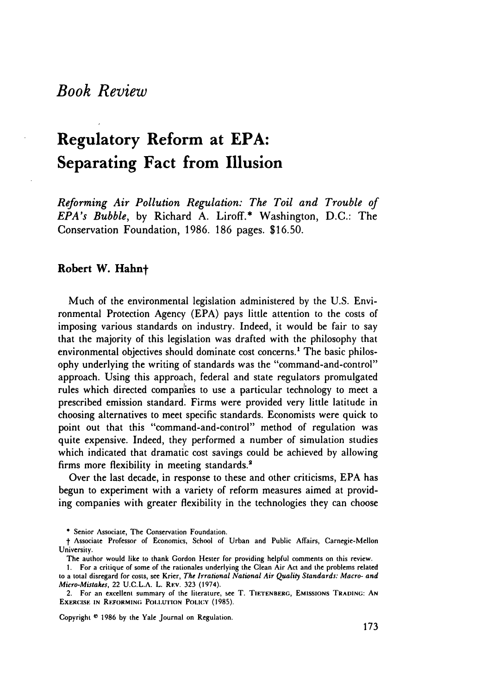# *Book Review*

# **Regulatory Reform at EPA: Separating Fact from Illusion**

*Reforming Air Pollution Regulation: The Toil and Trouble of EPA's Bubble,* **by** Richard **A.** Liroff.\* Washington, **D.C.:** The Conservation Foundation, **1986. 186** pages. **\$16.50.**

## **Robert W. Hahnt**

Much of the environmental legislation administered **by** the **U.S.** Environmental Protection Agency **(EPA)** pays little attention to the costs of imposing various standards on industry. Indeed, it would be fair to say that the majority of this legislation was drafted with the philosophy that environmental objectives should dominate cost concerns.' The basic philosophy underlying the writing of standards was the "command-and-control" approach. Using this approach, federal and state regulators promulgated rules which directed companies to use a particular technology to meet a prescribed emission standard. Firms were provided very little latitude in choosing alternatives to meet specific standards. Economists were quick to point out that this "command-and-control" method of regulation was quite expensive. Indeed, they performed a number of simulation studies which indicated that dramatic cost savings could be achieved **by** allowing firms more flexibility in meeting standards.'

Over the last decade, in response to these and other criticisms, **EPA** has begun to experiment with a variety of reform measures aimed at providing companies with greater flexibility in the technologies they can choose

**<sup>\*</sup>** Senior Associate, The Conservation Foundation.

t Associate Professor of Economics, School of Urban and Public Affairs, Carnegie-Mellon University.

The author would like to thank Gordon Hester for providing helpful comments on this review.

**<sup>1.</sup>** For a critique of some of the rationales underlying the Clean Air Act and the problems related to a total disregard for costs, see Krier, *The Irrational National Air Quality Standards: Macro- and Micro-Mistakes, 22 U.C.L.A. L. REV. 323 (1974).* 

<sup>2.</sup> For an excellent summary of the literature, see T. **TIETENBERG, EMISSIONs TRADING: AN EXERCISE IN REFORMING POLLUTION POLICY (1985).** 

Copyright **©0 1986 by** the Yale Journal on Regulation.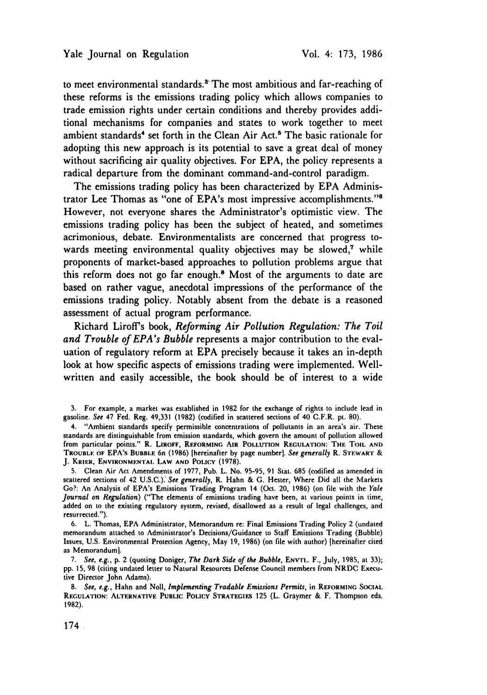to meet environmental standards.<sup>3</sup> The most ambitious and far-reaching of these reforms is the emissions trading policy which allows companies to trade emission rights under certain conditions and thereby provides additional mechanisms for companies and states to work together to meet ambient standards<sup>4</sup> set forth in the Clean Air Act.<sup>6</sup> The basic rationale for adopting this new approach is its potential to save a great deal of money without sacrificing air quality objectives. For EPA, the policy represents a radical departure from the dominant command-and-control paradigm.

The emissions trading policy has been characterized by **EPA** Administrator Lee Thomas as "one of EPA's most impressive accomplishments."<sup>6</sup> However, not everyone shares the Administrator's optimistic view. The emissions trading policy has been the subject of heated, and sometimes acrimonious, debate. Environmentalists are concerned that progress towards meeting environmental quality objectives may be slowed, $\alpha$  while proponents of market-based approaches to pollution problems argue that this reform does not go far enough.<sup>8</sup> Most of the arguments to date are based on rather vague, anecdotal impressions of the performance of the emissions trading policy. Notably absent from the debate is a reasoned assessment of actual program performance.

Richard Liroff's book, *Reforming Air Pollution Regulation: The Toil and Trouble of EPA's Bubble* represents a major contribution to the evaluation of regulatory reform at EPA precisely because it takes an in-depth look at how specific aspects of emissions trading were implemented. Wellwritten and easily accessible, the book should be of interest to a wide

5. Clean Air Act Amendments of 1977, Pub. L. No. 95-95, 91 Stat. 685 (codified as amended in scattered sections of 42 U.S.C.).' *See generally,* R. Hahn & G. Hester, Where Did all the Markets Go?: An Analysis of EPA's Emissions Trading Program 14 (Oct. 20, 1986) (on file with the *Yale Journal on Regulation)* ("The elements of emissions trading have been, at various points in time, added on to the existing regulatory system, revised, disallowed as a result of legal challenges, and resurrected.").

6. L. Thomas, EPA Administrator, Memorandum re: Final Emissions Trading Policy 2 (undated memorandum attached to Administrator's Decisions/Guidance to Staff Emissions Trading (Bubble) Issues, U.S. Environmental Protection Agency, May 19, 1986) (on file with author) [hereinafter cited as Memorandum].

7. *See, e.g.,* p. 2 (quoting Doniger, *The Dark Side of the Bubble,* ENVTL. F., July, 1985, at 33); pp. 15, 98 (citing undated letter to Natural Resources Defense Council members from NRDC Executive Director John Adams).

8. *See, e.g.,* Hahn and Noll, *Implementing Tradable Emissions Permits,* in REFORMING **SOCIAL REGULATION:** ALTERNATIVE **PUBLIC** POLICY **STRATEGIES** 125 (L. Graymer & F. Thompson eds. 1982).

 $174.$ 

<sup>3.</sup> For example, a market was established in 1982 for the exchange of rights to include lead in gasoline. *See* 47 Fed. Reg. 49,331 (1982) (codified in scattered sections of 40 C.F.R. pt. 80).

<sup>4. &</sup>quot;Ambient standards specify permissible concentrations of pollutants in an area's air. These standards are distinguishable from emission standards, which govern the amount of pollution allowed from particular points." R. **LIROFF, REFORMING AIR** POLLUTION **REGULATION: THE TOIL AND TROUBLE OF** EPA's **BUBBLE** 6n **(1986)** [hereinafter **by** page number]. *See generally* R. **STEWART** & **J. KRIER, ENVIRONMENTAL LAW AND POLICY (1978).**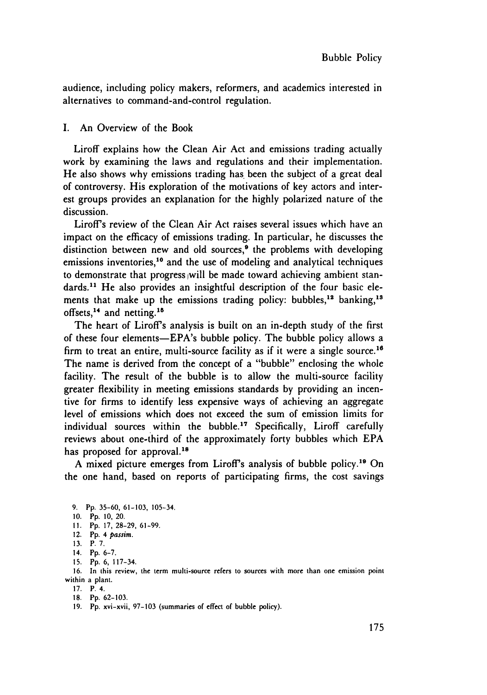audience, including policy makers, reformers, and academics interested in alternatives to command-and-control regulation.

### I. An Overview of the Book

Liroff explains how the Clean Air Act and emissions trading actually work by examining the laws and regulations and their implementation. He also shows why emissions trading has been the subject of a great deal of controversy. His exploration of the motivations of key actors and interest groups provides an explanation for the highly polarized nature of the discussion.

Liroff's review of the Clean Air Act raises several issues which have an impact on the efficacy of emissions trading. In particular, he discusses the distinction between new and old sources, $\theta$  the problems with developing emissions inventories,<sup>10</sup> and the use of modeling and analytical techniques to demonstrate that progress will be made toward achieving ambient standards.<sup>11</sup> He also provides an insightful description of the four basic elements that make up the emissions trading policy: bubbles,<sup>12</sup> banking,<sup>13</sup> offsets, $14$  and netting.<sup>18</sup>

The heart of Liroff's analysis is built on an in-depth study of the first of these four elements-EPA's bubble policy. The bubble policy allows a firm to treat an entire, multi-source facility as if it were a single source.<sup>16</sup> The name is derived from the concept of a "bubble" enclosing the whole facility. The result of the bubble is to allow the multi-source facility greater flexibility in meeting emissions standards by providing an incentive for firms to identify less expensive ways of achieving an aggregate level of emissions which does not exceed the sum of emission limits for individual sources within the bubble.<sup>17</sup> Specifically, Liroff carefully reviews about one-third of the approximately forty bubbles which EPA has proposed for approval.<sup>18</sup>

A mixed picture emerges from Liroff's analysis of bubble policy.<sup>19</sup> On the one hand, based on reports of participating firms, the cost savings

- 11. Pp. 17, 28-29, 61-99.
- 12. **Pp.** 4 *passim.*

- 14. Pp. 6-7.
- 15. Pp. 6, 117-34.

16. In this review, the term multi-source refers to sources with more than one emission point within a plant.

- 17. P. 4.
- 18. Pp. 62-103.

<sup>9.</sup> Pp. 35-60, 61-103, 105-34.

<sup>10.</sup> Pp. 10, 20.

**<sup>13.</sup>** P. 7.

<sup>19.</sup> Pp. xvi-xvii, 97-103 (summaries of effect of bubble policy).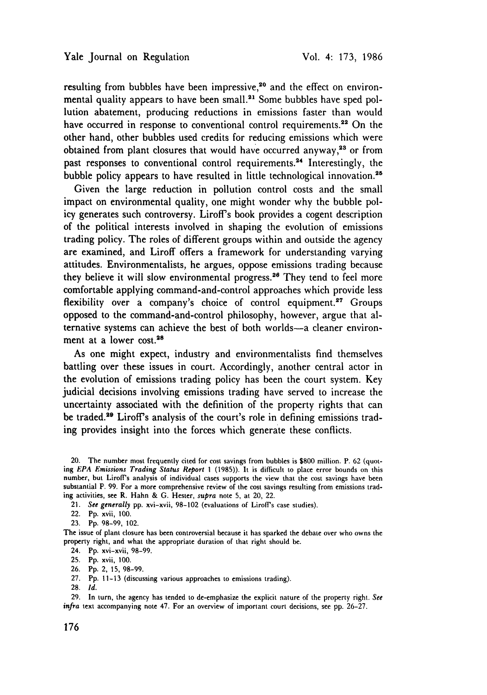resulting from bubbles have been impressive,<sup>20</sup> and the effect on environmental quality appears to have been small.<sup>21</sup> Some bubbles have sped pollution abatement, producing reductions in emissions faster than would have occurred in response to conventional control requirements.<sup>22</sup> On the other hand, other bubbles used credits for reducing emissions which were obtained from plant closures that would have occurred anyway, $23$  or from past responses to conventional control requirements.24 Interestingly, the bubble policy appears to have resulted in little technological innovation.<sup>25</sup>

Given the large reduction in pollution control costs and the small impact on environmental quality, one might wonder why the bubble policy generates such controversy. Liroff's book provides a cogent description of the political interests involved in shaping the evolution of emissions trading policy. The roles of different groups within and outside the agency are examined, and Liroff offers a framework for understanding varying attitudes. Environmentalists, he argues, oppose emissions trading because they believe it will slow environmental progress.<sup>26</sup> They tend to feel more comfortable applying command-and-control approaches which provide less flexibility over a company's choice of control equipment.<sup>27</sup> Groups opposed to the command-and-control philosophy, however, argue that alternative systems can achieve the best of both worlds-a cleaner environment at a lower cost.<sup>28</sup>

As one might expect, industry and environmentalists find themselves battling over these issues in court. Accordingly, another central actor in the evolution of emissions trading policy has been the court system. Key judicial decisions involving emissions trading have served to increase the uncertainty associated with the definition of the property rights that can be traded.<sup>29</sup> Liroff's analysis of the court's role in defining emissions trading provides insight into the forces which generate these conflicts.

21. *See generally* pp. xvi-xvii, 98-102 (evaluations of Liroff's case studies).

22. Pp. xvii, 100.

23. Pp. 98-99, 102.

The issue of plant closure has been controversial because it has sparked the debate over who owns the property right, and what the appropriate duration of that right should be.

- 24. Pp. xvi-xvii, 98-99.
- 25. Pp. xvii, 100.
- 26. Pp. 2, 15, 98-99.
- 27. Pp. 11-13 (discussing various approaches to emissions trading).
- 28. *Id.*

29. In turn, the agency has tended to de-emphasize the explicit nature of the property right. *See infra* text accompanying note 47. For an overview of important court decisions, see pp. 26-27.

<sup>20.</sup> The number most frequently cited for cost savings from bubbles is \$800 million. P. 62 (quoting *EPA Emissions Trading Status Report* 1 (1985)). It is difficult to place error bounds on this number, but Liroffs analysis of individual cases supports the view that the cost savings have been substantial P. 99. For a more comprehensive review of the cost savings resulting from emissions trading activities, see R. Hahn & G. Hester, *supra* note 5, at 20, 22.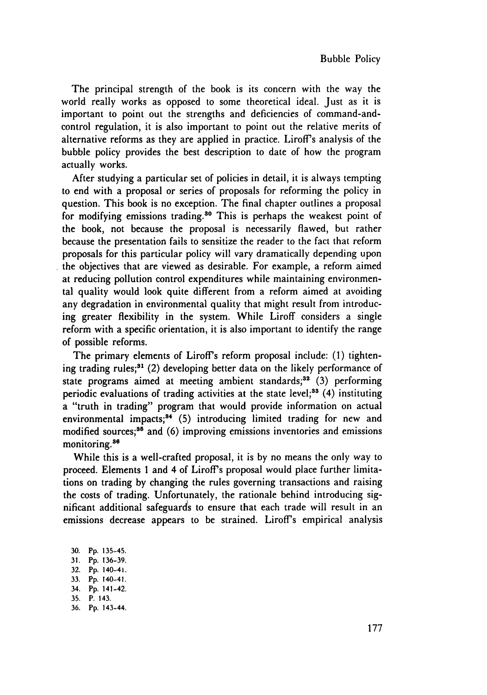The principal strength of the book is its concern with the way the world really works as opposed to some theoretical ideal. Just as it is important to point out the strengths and deficiencies of command-andcontrol regulation, it is also important to point out the relative merits of alternative reforms as they are applied in practice. Liroff's analysis of the bubble policy provides the best description to date of how the program actually works.

After studying a particular set of policies in detail, it is always tempting to end with a proposal or series of proposals for reforming the policy in question. This book is no exception. The final chapter outlines a proposal for modifying emissions trading.30 This is perhaps the weakest point of the book, not because the proposal is necessarily flawed, but rather because the presentation fails to sensitize the reader to the fact that reform proposals for this particular policy will vary dramatically depending upon the objectives that are viewed as desirable. For example, a reform aimed at reducing pollution control expenditures while maintaining environmental quality would look quite different from a reform aimed at avoiding any degradation in environmental quality that might result from introducing greater flexibility in the system. While Liroff considers a single reform with a specific orientation, it is also important to identify the range of possible reforms.

The primary elements of Liroff's reform proposal include: (1) tightening trading rules;<sup>31</sup> (2) developing better data on the likely performance of state programs aimed at meeting ambient standards;<sup>32</sup> (3) performing periodic evaluations of trading activities at the state level;<sup>33</sup> (4) instituting a "truth in trading" program that would provide information on actual environmental impacts; $34$ <sup>(5)</sup> introducing limited trading for new and modified sources; $85$  and (6) improving emissions inventories and emissions monitoring.<sup>36</sup>

While this is a well-crafted proposal, it is **by** no means the only way to proceed. Elements **I** and 4 of Liroffs proposal would place further limitations on trading **by** changing the rules governing transactions and raising the costs of trading. Unfortunately, the rationale behind introducing significant additional safeguards to ensure that each trade will result in an emissions decrease appears to be strained. Liroff's empirical analysis

**30. Pp. 135-45.** 31. **Pp. 136-39. 32. Pp.** 140-41. **33. Pp.** 140-41. 34. **Pp.** 141-42. **35.** P. 143. **36. Pp.** 143-44.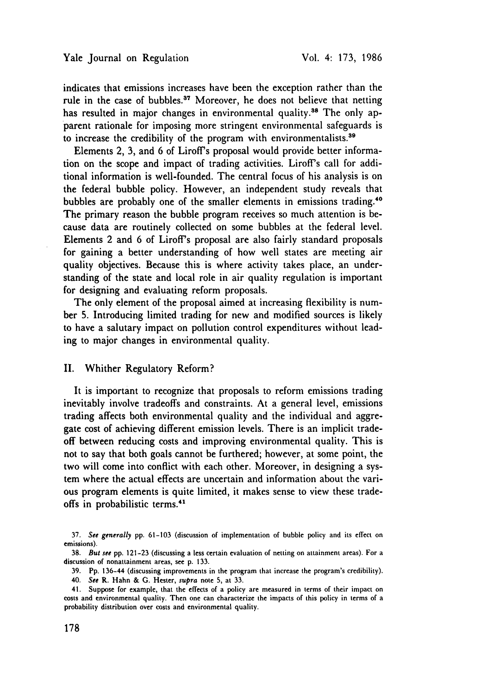indicates that emissions increases have been the exception rather than the rule in the case of bubbles.<sup>37</sup> Moreover, he does not believe that netting has resulted in major changes in environmental quality.<sup>38</sup> The only apparent rationale for imposing more stringent environmental safeguards is to increase the credibility of the program with environmentalists.<sup>39</sup>

Elements 2, 3, and 6 of Liroff's proposal would provide better information on the scope and impact of trading activities. Liroff's call for additional information is well-founded. The central focus of his analysis is on the federal bubble policy. However, an independent study reveals that bubbles are probably one of the smaller elements in emissions trading.<sup>40</sup> The primary reason the bubble program receives so much attention is because data are routinely collected on some bubbles at the federal level. Elements 2 and 6 of Liroff's proposal are also fairly standard proposals for gaining a better understanding of how well states are meeting air quality objectives. Because this is where activity takes place, an understanding of the state and local role in air quality regulation is important for designing and evaluating reform proposals.

The only element of the proposal aimed at increasing flexibility is number 5. Introducing limited trading for new and modified sources is likely to have a salutary impact on pollution control expenditures without leading to major changes in environmental quality.

II. Whither Regulatory Reform?

It is important to recognize that proposals to reform emissions trading inevitably involve tradeoffs and constraints. At a general level, emissions trading affects both environmental quality and the individual and aggregate cost of achieving different emission levels. There is an implicit tradeoff between reducing costs and improving environmental quality. This is not to say that both goals cannot be furthered; however, at some point, the two will come into conflict with each other. Moreover, in designing a system where the actual effects are uncertain and information about the various program elements is quite limited, it makes sense to view these tradeoffs in probabilistic terms.<sup>41</sup>

**<sup>37.</sup>** *See generally* pp. 61-103 (discussion of implementation of bubble policy and its effect on emissions).

**<sup>38.</sup>** *But see* pp. **121-23** (discussing a less certain evaluation of netting on attainment areas). For a discussion of nonattainment areas, see p. **133.**

**<sup>39.</sup> Pp.** 136-44 (discussing improvements in the program that increase the program's credibility).

<sup>40.</sup> *See* R. Hahn & **G.** Hester, *supra* note **5,** at 33.

<sup>41.</sup> Suppose for example, that the effects of a policy are measured in terms of their impact on costs and environmental quality. Then one can characterize the impacts of this policy in terms of a probability distribution over costs and environmental quality.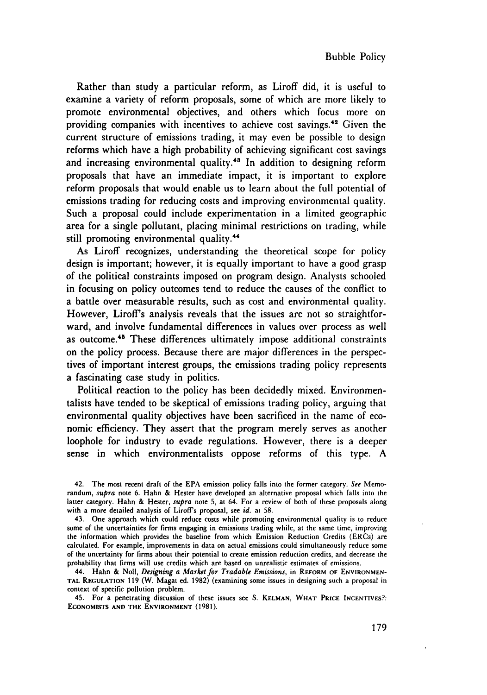Rather than study a particular reform, as Liroff did, it is useful to examine a variety of reform proposals, some of which are more likely to promote environmental objectives, and others which focus more on providing companies with incentives to achieve cost savings.<sup>42</sup> Given the current structure of emissions trading, it may even be possible to design reforms which have a high probability of achieving significant cost savings and increasing environmental quality.<sup>48</sup> In addition to designing reform proposals that have an immediate impact, it is important to explore reform proposals that would enable us to learn about the full potential of emissions trading for reducing costs and improving environmental quality. Such a proposal could include experimentation in a limited geographic area for a single pollutant, placing minimal restrictions on trading, while still promoting environmental quality.<sup>44</sup>

As Liroff recognizes, understanding the theoretical scope for policy design is important; however, it is equally important to have a good grasp of the political constraints imposed on program design. Analysts schooled in focusing on policy outcomes tend to reduce the causes of the conflict to a battle over measurable results, such as cost and environmental quality. However, Liroff's analysis reveals that the issues are not so straightforward, and involve fundamental differences in values over process as well as outcome.<sup>45</sup> These differences ultimately impose additional constraints on the policy process. Because there are major differences in the perspectives of important interest groups, the emissions trading policy represents a fascinating case study in politics.

Political reaction to the policy has been decidedly mixed. Environmentalists have tended to be skeptical of emissions trading policy, arguing that environmental quality objectives have been sacrificed in the name of economic efficiency. They assert that the program merely serves as another loophole for industry to evade regulations. However, there is a deeper sense in which environmentalists oppose reforms of this type. A

<sup>42.</sup> The most recent draft of the **EPA** emission policy falls into the former category. *See* Memorandum, *supra* note **6.** Hahn **&** Hester have developed an alternative proposal which falls into the latter category. Hahn **&** Hester, *supra* note **5,** at 64. For a review of both of these proposals along with a more detailed analysis of Liroff's proposal, see *id.* at **58.**

<sup>43.</sup> One approach which could reduce costs while promoting environmental quality is to reduce some of the uncertainties for firms engaging in emissions trading while, at the same time, improving the information which provides the baseline from which Emission Reduction Credits (ERCs) are calculated. For example, improvements in data on actual emissions could simultaneously reduce some of the uncertainty for firms about their potential to create emission reduction credits, and decrease the probability that firms will use credits which are based on unrealistic estimates of emissions.

<sup>44.</sup> Hahn **&** Noll, *Designing* a *Market for Tradable Emissions,* in **REFORM OF ENVIRONMEN-**TAL REGULATION 119 (W. Magat ed. 1982) (examining some issues in designing such a proposal in context of specific pollution problem.

<sup>45.</sup> For a penetrating discussion of these issues see S. **KELMAN, WHAT PRICE INCENTIVES?: ECONOMISrS AND rHE ENVIRONMENT (1981).**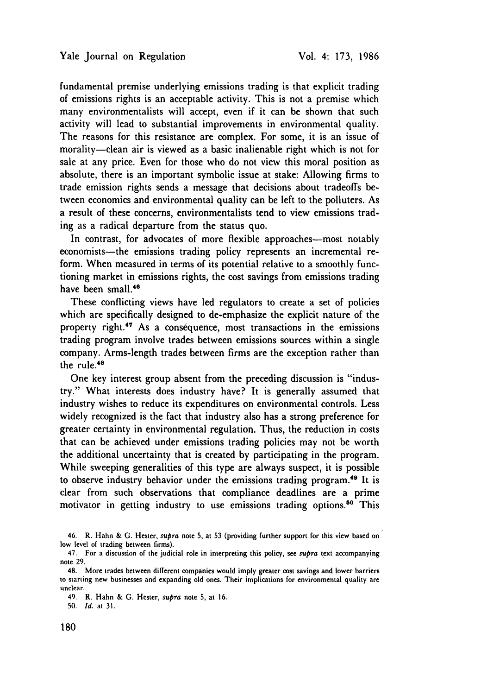fundamental premise underlying emissions trading is that explicit trading of emissions rights is an acceptable activity. This is not a premise which many environmentalists will accept, even if it can be shown that such activity will lead to substantial improvements in environmental quality. The reasons for this resistance are complex. For some, it is an issue of morality-clean air is viewed as a basic inalienable right which is not for sale at any price. Even for those who do not view this moral position as absolute, there is an important symbolic issue at stake: Allowing firms to trade emission rights sends a message that decisions about tradeoffs between economics and environmental quality can be left to the polluters. As a result of these concerns, environmentalists tend to view emissions trading as a radical departure from the status quo.

In contrast, for advocates of more flexible approaches-most notably economists—the emissions trading policy represents an incremental reform. When measured in terms of its potential relative to a smoothly functioning market in emissions rights, the cost savings from emissions trading have been small.<sup>46</sup>

These conflicting views have led regulators to create a set of policies which are specifically designed to de-emphasize the explicit nature of the property right.<sup>47</sup> As a consequence, most transactions in the emissions trading program involve trades between emissions sources within a single company. Arms-length trades between firms are the exception rather than the rule.48

One key interest group absent from the preceding discussion is "industry." What interests does industry have? It is generally assumed that industry wishes to reduce its expenditures on environmental controls. Less widely recognized is the fact that industry also has a strong preference for greater certainty in environmental regulation. Thus, the reduction in costs that can be achieved under emissions trading policies may not be worth the additional uncertainty that is created by participating in the program. While sweeping generalities of this type are always suspect, it is possible to observe industry behavior under the emissions trading program. 49 It is clear from such observations that compliance deadlines are a prime motivator in getting industry to use emissions trading options.<sup>50</sup> This

<sup>46.</sup> R. Hahn & **G.** Hester, *supra* note 5, at 53 (providing further support for this view based on low level of trading between firms).

<sup>47.</sup> For a discussion of the judicial role in interpreting this policy, see *supra* text accompanying note 29.

<sup>48.</sup> More trades between different companies would imply greater cost savings and lower barriers to starting new businesses and expanding old ones. Their implications for environmental quality are unclear.

<sup>49.</sup> R. Hahn & G. Hester, *supra* note 5, at 16.

<sup>50.</sup> *Id.* at 31.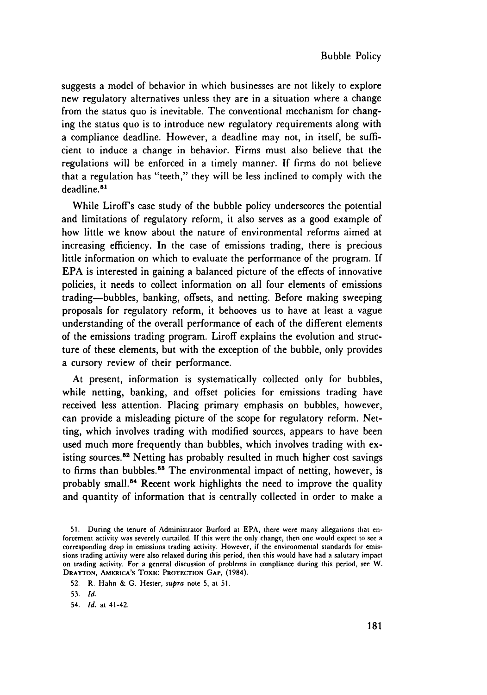suggests a model of behavior in which businesses are not likely to explore new regulatory alternatives unless they are in a situation where a change from the status quo is inevitable. The conventional mechanism for changing the status quo is to introduce new regulatory requirements along with a compliance deadline. However, a deadline may not, in itself, be sufficient to induce a change in behavior. Firms must also believe that the regulations will be enforced in a timely manner. If firms do not believe that a regulation has "teeth," they will be less inclined to comply with the deadline.<sup>81</sup>

While Liroff's case study of the bubble policy underscores the potential and limitations of regulatory reform, it also serves as a good example of how little we know about the nature of environmental reforms aimed at increasing efficiency. In the case of emissions trading, there is precious little information on which to evaluate the performance of the program. If EPA is interested in gaining a balanced picture of the effects of innovative policies, it needs to collect information on all four elements of emissions trading-bubbles, banking, offsets, and netting. Before making sweeping proposals for regulatory reform, it behooves us to have at least a vague understanding of the overall performance of each of the different elements of the emissions trading program. Liroff explains the evolution and structure of these elements, but with the exception of the bubble, only provides a cursory review of their performance.

At present, information is systematically collected only for bubbles, while netting, banking, and offset policies for emissions trading have received less attention. Placing primary emphasis on bubbles, however, can provide a misleading picture of the scope for regulatory reform. Netting, which involves trading with modified sources, appears to have been used much more frequently than bubbles, which involves trading with existing sources.<sup> $52$ </sup> Netting has probably resulted in much higher cost savings to firms than bubbles.<sup>53</sup> The environmental impact of netting, however, is probably small.<sup>54</sup> Recent work highlights the need to improve the quality and quantity of information that is centrally collected in order to make a

<sup>51.</sup> During **the** tenure of Administrator Burford at EPA, there were many allegations that enforcement activity was severely curtailed. If this were the only change, then one would expect to see a corresponding drop in emissions trading activity. However, if the environmental standards for emissions trading activity were also relaxed during this period, then this would have had a salutary impact on trading activity. For a general discussion of problems in compliance during this period, see W. **DRAYTON, AMERICA'S TOXIC PROTECTION GAP, (1984).** 

**<sup>52.</sup>** R. Hahn & G. Hester, supra note **5,** at **51.**

**<sup>53.</sup>** *Id.*

<sup>54.</sup> *Id.* at 41-42.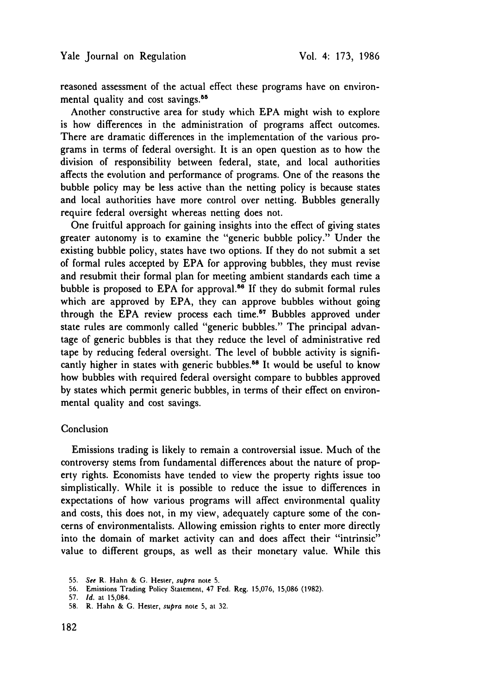reasoned assessment of the actual effect these programs have on environmental quality and cost savings.<sup>55</sup>

Another constructive area for study which **EPA** might wish to explore is how differences in the administration of programs affect outcomes. There are dramatic differences in the implementation of the various programs in terms of federal oversight. It is an open question as to how the division of responsibility between federal, state, and local authorities affects the evolution and performance of programs. One of the reasons the bubble policy may be less active than the netting policy is because states and local authorities have more control over netting. Bubbles generally require federal oversight whereas netting does not.

One fruitful approach for gaining insights into the effect of giving states greater autonomy is to examine the "generic bubble policy." Under the existing bubble policy, states have two options. If they do not submit a set of formal rules accepted by **EPA** for approving bubbles, they must revise and resubmit their formal plan for meeting ambient standards each time a bubble is proposed to EPA for approval.<sup>56</sup> If they do submit formal rules which are approved by EPA, they can approve bubbles without going through the EPA review process each time.<sup>57</sup> Bubbles approved under state rules are commonly called "generic bubbles." The principal advantage of generic bubbles is that they reduce the level of administrative red tape by reducing federal oversight. The level of bubble activity is significantly higher in states with generic bubbles.<sup>58</sup> It would be useful to know how bubbles with required federal oversight compare to bubbles approved by states which permit generic bubbles, in terms of their effect on environmental quality and cost savings.

#### Conclusion

Emissions trading is likely to remain a controversial issue. Much of the controversy stems from fundamental differences about the nature of property rights. Economists have tended to view the property rights issue too simplistically. While it is possible to reduce the issue to differences in expectations of how various programs will affect environmental quality and costs, this does not, in my view, adequately capture some of the concerns of environmentalists. Allowing emission rights to enter more directly into the domain of market activity can and does affect their "intrinsic" value to different groups, as well as their monetary value. While this

<sup>55.</sup> *See* R. Hahn & **G.** Hester, *supra* note **5.**

<sup>56.</sup> Emissions Trading Policy Statement, 47 Fed. Reg. 15,076, 15,086 (1982).

<sup>57.</sup> *Id.* at 15,084.

<sup>58.</sup> R. Hahn & G. Hester, *supra* note 5, at 32.